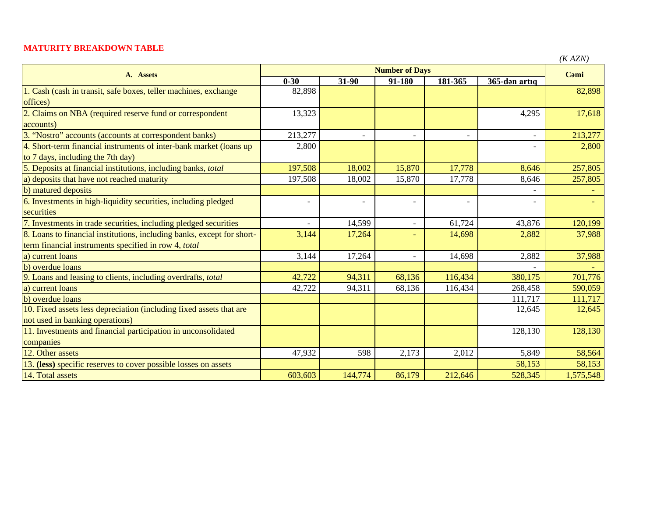## **MATURITY BREAKDOWN TABLE**

| $\mathbf{v}$ | ١ZN<br>)<br>┍ |
|--------------|---------------|
|--------------|---------------|

| A. Assets                                                              | <b>Number of Days</b> |                          |                          |         |                          | (11/124)<br>Cami |
|------------------------------------------------------------------------|-----------------------|--------------------------|--------------------------|---------|--------------------------|------------------|
|                                                                        | $0 - 30$              | 31-90                    | 91-180                   | 181-365 | 365-dən artıq            |                  |
| 1. Cash (cash in transit, safe boxes, teller machines, exchange        | 82,898                |                          |                          |         |                          | 82,898           |
| offices)                                                               |                       |                          |                          |         |                          |                  |
| 2. Claims on NBA (required reserve fund or correspondent               | 13,323                |                          |                          |         | 4,295                    | 17,618           |
| accounts)                                                              |                       |                          |                          |         |                          |                  |
| 3. "Nostro" accounts (accounts at correspondent banks)                 | 213,277               |                          | $\overline{a}$           |         |                          | 213,277          |
| 4. Short-term financial instruments of inter-bank market (loans up     | 2,800                 |                          |                          |         |                          | 2,800            |
| to 7 days, including the 7th day)                                      |                       |                          |                          |         |                          |                  |
| 5. Deposits at financial institutions, including banks, total          | 197,508               | 18,002                   | 15,870                   | 17,778  | 8,646                    | 257,805          |
| a) deposits that have not reached maturity                             | 197,508               | 18,002                   | 15,870                   | 17,778  | 8,646                    | 257,805          |
| b) matured deposits                                                    |                       |                          |                          |         |                          |                  |
| 6. Investments in high-liquidity securities, including pledged         | $\blacksquare$        | $\overline{\phantom{0}}$ | $\blacksquare$           |         | $\overline{\phantom{a}}$ |                  |
| securities                                                             |                       |                          |                          |         |                          |                  |
| 7. Investments in trade securities, including pledged securities       |                       | 14,599                   | $\equiv$                 | 61,724  | 43,876                   | 120,199          |
| 8. Loans to financial institutions, including banks, except for short- | 3,144                 | 17,264                   | $\overline{\phantom{a}}$ | 14,698  | 2,882                    | 37,988           |
| term financial instruments specified in row 4, total                   |                       |                          |                          |         |                          |                  |
| a) current loans                                                       | 3,144                 | 17,264                   | $\overline{\phantom{a}}$ | 14,698  | 2,882                    | 37,988           |
| b) overdue loans                                                       |                       |                          |                          |         |                          |                  |
| 9. Loans and leasing to clients, including overdrafts, total           | 42,722                | 94,311                   | 68,136                   | 116,434 | 380,175                  | 701,776          |
| a) current loans                                                       | 42,722                | 94,311                   | 68,136                   | 116,434 | 268,458                  | 590,059          |
| b) overdue loans                                                       |                       |                          |                          |         | 111,717                  | 111,717          |
| 10. Fixed assets less depreciation (including fixed assets that are    |                       |                          |                          |         | 12,645                   | 12,645           |
| not used in banking operations)                                        |                       |                          |                          |         |                          |                  |
| 11. Investments and financial participation in unconsolidated          |                       |                          |                          |         | 128,130                  | 128,130          |
| companies                                                              |                       |                          |                          |         |                          |                  |
| 12. Other assets                                                       | 47,932                | 598                      | 2,173                    | 2,012   | 5,849                    | 58,564           |
| 13. (less) specific reserves to cover possible losses on assets        |                       |                          |                          |         | 58,153                   | 58,153           |
| 14. Total assets                                                       | 603,603               | 144,774                  | 86,179                   | 212,646 | 528,345                  | 1,575,548        |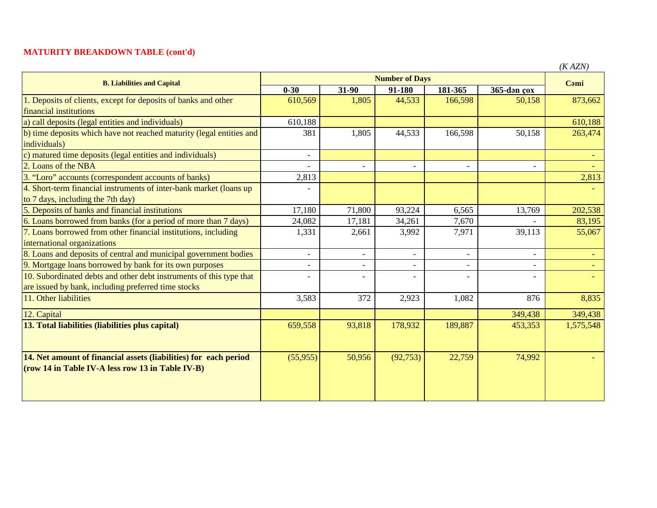## **MATURITY BREAKDOWN TABLE (cont'd)**

| <b>B. Liabilities and Capital</b>                                    | <b>Number of Days</b>    |        |                          |                |             | $(1)$ $\Delta Z$ $\gamma$ |
|----------------------------------------------------------------------|--------------------------|--------|--------------------------|----------------|-------------|---------------------------|
|                                                                      | $0 - 30$                 | 31-90  | $91 - 180$               | 181-365        | 365-dən çox | Cami                      |
| 1. Deposits of clients, except for deposits of banks and other       | 610,569                  | 1,805  | 44,533                   | 166,598        | 50,158      | 873,662                   |
| financial institutions                                               |                          |        |                          |                |             |                           |
| a) call deposits (legal entities and individuals)                    | 610,188                  |        |                          |                |             | 610,188                   |
| b) time deposits which have not reached maturity (legal entities and | 381                      | 1,805  | 44,533                   | 166,598        | 50,158      | 263,474                   |
| individuals)                                                         |                          |        |                          |                |             |                           |
| c) matured time deposits (legal entities and individuals)            | $\overline{\phantom{a}}$ |        |                          |                |             |                           |
| 2. Loans of the NBA                                                  |                          |        | $\overline{\phantom{0}}$ |                |             |                           |
| 3. "Loro" accounts (correspondent accounts of banks)                 | 2,813                    |        |                          |                |             | 2,813                     |
| 4. Short-term financial instruments of inter-bank market (loans up   |                          |        |                          |                |             |                           |
| to 7 days, including the 7th day)                                    |                          |        |                          |                |             |                           |
| 5. Deposits of banks and financial institutions                      | 17,180                   | 71,800 | 93,224                   | 6,565          | 13,769      | 202,538                   |
| 6. Loans borrowed from banks (for a period of more than 7 days)      | 24,082                   | 17,181 | 34,261                   | 7,670          |             | 83,195                    |
| 7. Loans borrowed from other financial institutions, including       | 1,331                    | 2,661  | 3,992                    | 7,971          | 39,113      | 55,067                    |
| international organizations                                          |                          |        |                          |                |             |                           |
| 8. Loans and deposits of central and municipal government bodies     |                          |        | $\overline{\phantom{0}}$ | $\blacksquare$ |             |                           |
| 9. Mortgage loans borrowed by bank for its own purposes              |                          |        | $\overline{\phantom{0}}$ |                |             |                           |
| 10. Subordinated debts and other debt instruments of this type that  |                          |        | $\overline{\phantom{0}}$ |                |             |                           |
| are issued by bank, including preferred time stocks                  |                          |        |                          |                |             |                           |
| 11. Other liabilities                                                | 3,583                    | 372    | 2,923                    | 1,082          | 876         | 8,835                     |
| 12. Capital                                                          |                          |        |                          |                | 349,438     | 349,438                   |
| 13. Total liabilities (liabilities plus capital)                     | 659,558                  | 93,818 | 178,932                  | 189,887        | 453,353     | 1,575,548                 |
|                                                                      |                          |        |                          |                |             |                           |
| 14. Net amount of financial assets (liabilities) for each period     | (55, 955)                | 50,956 | (92, 753)                | 22,759         | 74,992      |                           |
| (row 14 in Table IV-A less row 13 in Table IV-B)                     |                          |        |                          |                |             |                           |
|                                                                      |                          |        |                          |                |             |                           |
|                                                                      |                          |        |                          |                |             |                           |
|                                                                      |                          |        |                          |                |             |                           |

*(K AZN)*